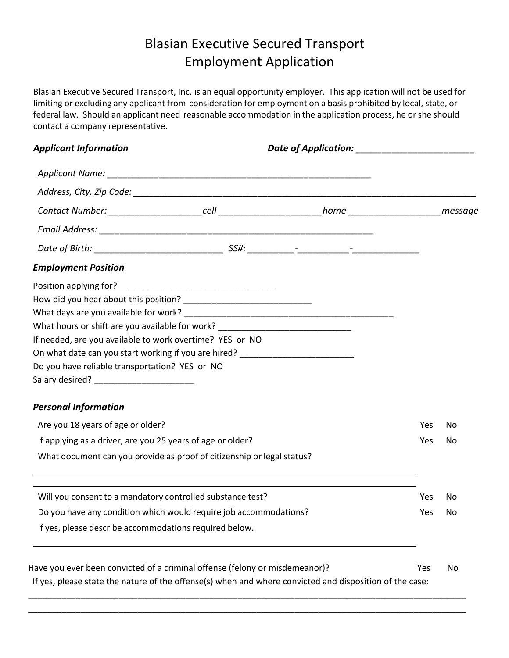# Blasian Executive Secured Transport Employment Application

Blasian Executive Secured Transport, Inc. is an equal opportunity employer. This application will not be used for limiting or excluding any applicant from consideration for employment on a basis prohibited by local, state, or federal law. Should an applicant need reasonable accommodation in the application process, he orshe should contact a company representative.

| <b>Applicant Information</b>                                                                            |  |            |    |
|---------------------------------------------------------------------------------------------------------|--|------------|----|
|                                                                                                         |  |            |    |
|                                                                                                         |  |            |    |
|                                                                                                         |  |            |    |
|                                                                                                         |  |            |    |
|                                                                                                         |  |            |    |
| <b>Employment Position</b>                                                                              |  |            |    |
|                                                                                                         |  |            |    |
|                                                                                                         |  |            |    |
|                                                                                                         |  |            |    |
| What hours or shift are you available for work? ________________________________                        |  |            |    |
| If needed, are you available to work overtime? YES or NO                                                |  |            |    |
| On what date can you start working if you are hired? ___________________________                        |  |            |    |
| Do you have reliable transportation? YES or NO                                                          |  |            |    |
| <b>Personal Information</b>                                                                             |  |            |    |
| Are you 18 years of age or older?                                                                       |  | Yes        | No |
| If applying as a driver, are you 25 years of age or older?                                              |  | <b>Yes</b> | No |
| What document can you provide as proof of citizenship or legal status?                                  |  |            |    |
| Will you consent to a mandatory controlled substance test?                                              |  | Yes        | No |
| Do you have any condition which would require job accommodations?                                       |  | Yes        | No |
| If yes, please describe accommodations required below.                                                  |  |            |    |
| Have you ever been convicted of a criminal offense (felony or misdemeanor)?                             |  | Yes        | No |
| If yes, please state the nature of the offense(s) when and where convicted and disposition of the case: |  |            |    |

\_\_\_\_\_\_\_\_\_\_\_\_\_\_\_\_\_\_\_\_\_\_\_\_\_\_\_\_\_\_\_\_\_\_\_\_\_\_\_\_\_\_\_\_\_\_\_\_\_\_\_\_\_\_\_\_\_\_\_\_\_\_\_\_\_\_\_\_\_\_\_\_\_\_\_\_\_\_\_\_\_\_\_\_\_\_\_\_\_\_\_\_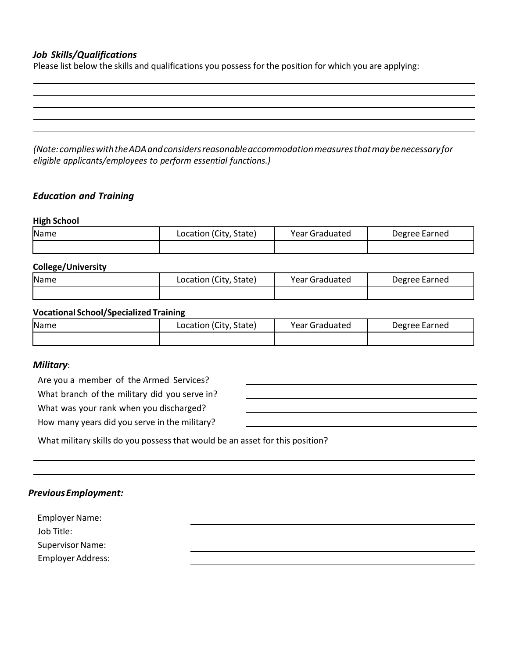## *Job Skills/Qualifications*

Please list below the skills and qualifications you possess for the position for which you are applying:

*(Note:complieswiththeADAandconsidersreasonableaccommodationmeasuresthatmaybenecessaryfor eligible applicants/employees to perform essential functions.)*

## *Education and Training*

#### **High School**

| Name | Location (City, State) | <b>Year Graduated</b> | Degree Earned |
|------|------------------------|-----------------------|---------------|
|      |                        |                       |               |

## **College/University**

| Name | Location (City, State) | <b>Year Graduated</b> | Degree Earned |
|------|------------------------|-----------------------|---------------|
|      |                        |                       |               |

#### **Vocational School/Specialized Training**

| <b>Name</b> | Location (City, State) | Year Graduated | Degree Earned |
|-------------|------------------------|----------------|---------------|
|             |                        |                |               |

#### *Military*:

Are you a member of the Armed Services?

What branch of the military did you serve in?

What was your rank when you discharged?

How many years did you serve in the military?

What military skills do you possess that would be an asset for this position?

|  | <b>Previous Employment:</b> |
|--|-----------------------------|
|--|-----------------------------|

**Employer Name:** Job Title: Supervisor Name: Employer Address: